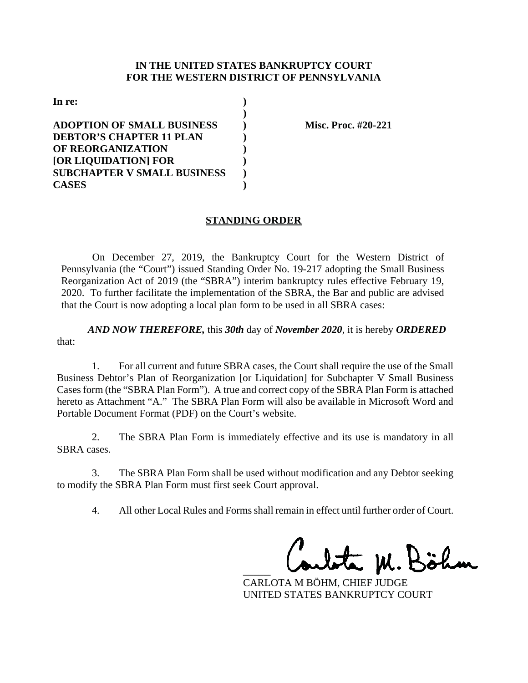#### **IN THE UNITED STATES BANKRUPTCY COURT FOR THE WESTERN DISTRICT OF PENNSYLVANIA**

| In re:                             |  |
|------------------------------------|--|
|                                    |  |
| <b>ADOPTION OF SMALL BUSINESS</b>  |  |
| <b>DEBTOR'S CHAPTER 11 PLAN</b>    |  |
| <b>OF REORGANIZATION</b>           |  |
| [OR LIQUIDATION] FOR               |  |
| <b>SUBCHAPTER V SMALL BUSINESS</b> |  |
| <b>CASES</b>                       |  |

**Misc. Proc. #20-221** 

## **STANDING ORDER**

On December 27, 2019, the Bankruptcy Court for the Western District of Pennsylvania (the "Court") issued Standing Order No. 19-217 adopting the Small Business Reorganization Act of 2019 (the "SBRA") interim bankruptcy rules effective February 19, 2020. To further facilitate the implementation of the SBRA, the Bar and public are advised that the Court is now adopting a local plan form to be used in all SBRA cases:

*AND NOW THEREFORE,* this *30th* day of *November 2020*, it is hereby *ORDERED* that:

1. For all current and future SBRA cases, the Court shall require the use of the Small Business Debtor's Plan of Reorganization [or Liquidation] for Subchapter V Small Business Cases form (the "SBRA Plan Form"). A true and correct copy of the SBRA Plan Form is attached hereto as Attachment "A." The SBRA Plan Form will also be available in Microsoft Word and Portable Document Format (PDF) on the Court's website.

2. The SBRA Plan Form is immediately effective and its use is mandatory in all SBRA cases.

3. The SBRA Plan Form shall be used without modification and any Debtor seeking to modify the SBRA Plan Form must first seek Court approval.

4. All other Local Rules and Forms shall remain in effect until further order of Court.

\_\_\_\_\_\_\_\_\_\_\_\_\_\_\_\_\_\_\_\_\_\_\_\_\_\_\_\_\_\_\_\_\_\_\_\_\_\_\_

CARLOTA M BÖHM, CHIEF JUDGE UNITED STATES BANKRUPTCY COURT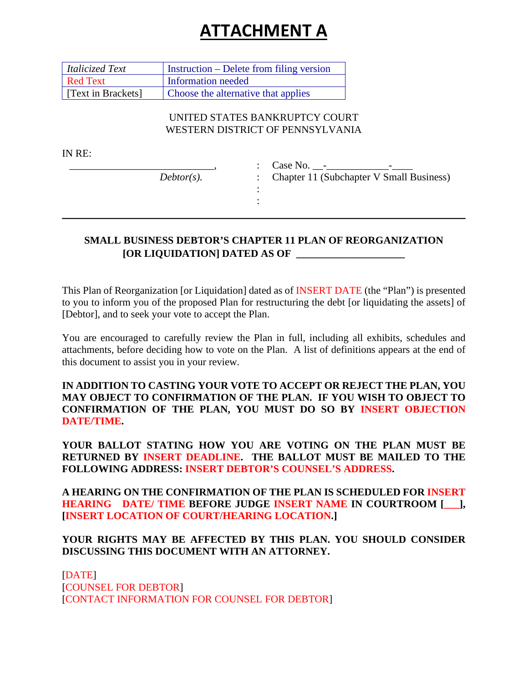# **ATTACHMENT A**

| Italicized Text    | Instruction – Delete from filing version |
|--------------------|------------------------------------------|
| Red Text           | Information needed                       |
| [Text in Brackets] | Choose the alternative that applies      |

# UNITED STATES BANKRUPTCY COURT WESTERN DISTRICT OF PENNSYLVANIA

IN RE:

\_\_\_\_\_\_\_\_\_\_\_\_\_\_\_\_\_\_\_\_\_\_\_\_\_\_\_\_, *Debtor(s).* : Case No. \_\_-\_\_\_\_\_\_\_\_\_\_\_\_-\_\_\_\_ : Chapter 11 (Subchapter V Small Business)

# **SMALL BUSINESS DEBTOR'S CHAPTER 11 PLAN OF REORGANIZATION [OR LIQUIDATION] DATED AS OF \_\_\_\_\_\_\_\_\_\_\_\_\_\_\_\_\_\_\_\_\_**

: :  $\_$  , and the set of the set of the set of the set of the set of the set of the set of the set of the set of the set of the set of the set of the set of the set of the set of the set of the set of the set of the set of th

This Plan of Reorganization [or Liquidation] dated as of INSERT DATE (the "Plan") is presented to you to inform you of the proposed Plan for restructuring the debt [or liquidating the assets] of [Debtor], and to seek your vote to accept the Plan.

You are encouraged to carefully review the Plan in full, including all exhibits, schedules and attachments, before deciding how to vote on the Plan. A list of definitions appears at the end of this document to assist you in your review.

**IN ADDITION TO CASTING YOUR VOTE TO ACCEPT OR REJECT THE PLAN, YOU MAY OBJECT TO CONFIRMATION OF THE PLAN. IF YOU WISH TO OBJECT TO CONFIRMATION OF THE PLAN, YOU MUST DO SO BY INSERT OBJECTION DATE/TIME.**

**YOUR BALLOT STATING HOW YOU ARE VOTING ON THE PLAN MUST BE RETURNED BY INSERT DEADLINE. THE BALLOT MUST BE MAILED TO THE FOLLOWING ADDRESS: INSERT DEBTOR'S COUNSEL'S ADDRESS.**

**A HEARING ON THE CONFIRMATION OF THE PLAN IS SCHEDULED FOR INSERT HEARING DATE/ TIME BEFORE JUDGE INSERT NAME IN COURTROOM [\_\_\_], [INSERT LOCATION OF COURT/HEARING LOCATION.]**

# **YOUR RIGHTS MAY BE AFFECTED BY THIS PLAN. YOU SHOULD CONSIDER DISCUSSING THIS DOCUMENT WITH AN ATTORNEY.**

[DATE] [COUNSEL FOR DEBTOR] [CONTACT INFORMATION FOR COUNSEL FOR DEBTOR]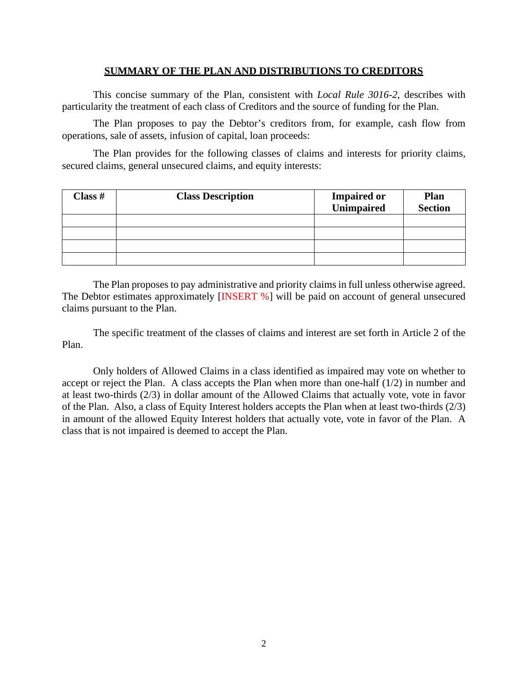#### **SUMMARY OF THE PLAN AND DISTRIBUTIONS TO CREDITORS**

This concise summary of the Plan, consistent with *Local Rule 3016-2*, describes with particularity the treatment of each class of Creditors and the source of funding for the Plan.

The Plan proposes to pay the Debtor's creditors from, for example, cash flow from operations, sale of assets, infusion of capital, loan proceeds:

The Plan provides for the following classes of claims and interests for priority claims, secured claims, general unsecured claims, and equity interests:

| Class $#$ | <b>Class Description</b> | <b>Impaired or</b><br>Unimpaired | <b>Plan</b><br><b>Section</b> |
|-----------|--------------------------|----------------------------------|-------------------------------|
|           |                          |                                  |                               |
|           |                          |                                  |                               |
|           |                          |                                  |                               |
|           |                          |                                  |                               |

The Plan proposes to pay administrative and priority claims in full unless otherwise agreed. The Debtor estimates approximately [INSERT %] will be paid on account of general unsecured claims pursuant to the Plan.

The specific treatment of the classes of claims and interest are set forth in Article 2 of the Plan.

Only holders of Allowed Claims in a class identified as impaired may vote on whether to accept or reject the Plan. A class accepts the Plan when more than one-half (1/2) in number and at least two-thirds (2/3) in dollar amount of the Allowed Claims that actually vote, vote in favor of the Plan. Also, a class of Equity Interest holders accepts the Plan when at least two-thirds (2/3) in amount of the allowed Equity Interest holders that actually vote, vote in favor of the Plan. A class that is not impaired is deemed to accept the Plan.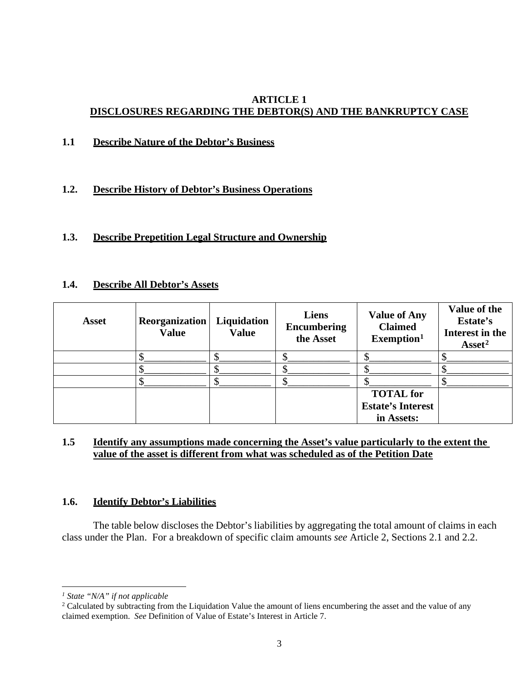# **ARTICLE 1 DISCLOSURES REGARDING THE DEBTOR(S) AND THE BANKRUPTCY CASE**

**1.1 Describe Nature of the Debtor's Business**

# **1.2. Describe History of Debtor's Business Operations**

# **1.3. Describe Prepetition Legal Structure and Ownership**

#### **1.4. Describe All Debtor's Assets**

| <b>Asset</b> | Reorganization<br><b>Value</b> | Liquidation<br><b>Value</b> | Liens<br>Encumbering<br>the Asset | <b>Value of Any</b><br><b>Claimed</b><br>Exemption <sup>1</sup> | Value of the<br>Estate's<br>Interest in the<br>$\text{A} \text{s} \text{set}^2$ |
|--------------|--------------------------------|-----------------------------|-----------------------------------|-----------------------------------------------------------------|---------------------------------------------------------------------------------|
|              |                                |                             |                                   |                                                                 |                                                                                 |
|              |                                |                             |                                   |                                                                 |                                                                                 |
|              |                                |                             |                                   |                                                                 |                                                                                 |
|              |                                |                             |                                   | <b>TOTAL</b> for<br><b>Estate's Interest</b><br>in Assets:      |                                                                                 |

# **1.5 Identify any assumptions made concerning the Asset's value particularly to the extent the value of the asset is different from what was scheduled as of the Petition Date**

## **1.6. Identify Debtor's Liabilities**

The table below discloses the Debtor's liabilities by aggregating the total amount of claims in each class under the Plan. For a breakdown of specific claim amounts *see* Article 2, Sections 2.1 and 2.2.

<span id="page-3-0"></span>*<sup>1</sup> State "N/A" if not applicable*

<span id="page-3-1"></span><sup>&</sup>lt;sup>2</sup> Calculated by subtracting from the Liquidation Value the amount of liens encumbering the asset and the value of any claimed exemption. *See* Definition of Value of Estate's Interest in Article 7.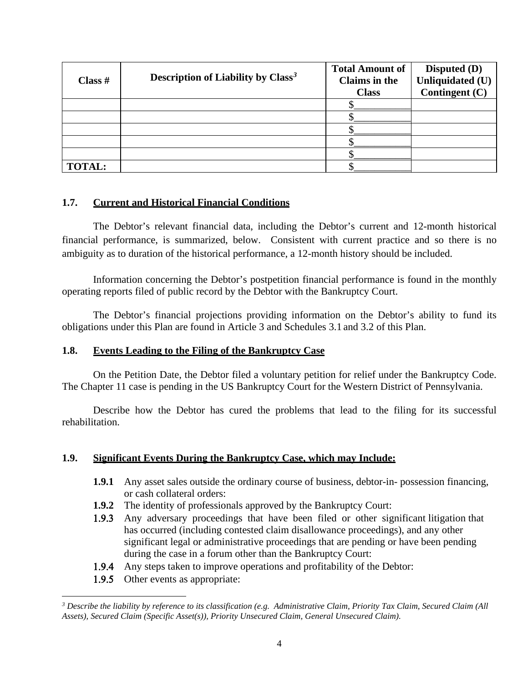| Class $#$     | Description of Liability by Class <sup>3</sup> | <b>Total Amount of</b><br><b>Claims in the</b><br><b>Class</b> | <b>Disputed (D)</b><br>Unliquidated (U)<br>Contingent (C) |
|---------------|------------------------------------------------|----------------------------------------------------------------|-----------------------------------------------------------|
|               |                                                |                                                                |                                                           |
|               |                                                |                                                                |                                                           |
|               |                                                |                                                                |                                                           |
|               |                                                |                                                                |                                                           |
|               |                                                |                                                                |                                                           |
| <b>TOTAL:</b> |                                                |                                                                |                                                           |

# **1.7. Current and Historical Financial Conditions**

The Debtor's relevant financial data, including the Debtor's current and 12-month historical financial performance, is summarized, below. Consistent with current practice and so there is no ambiguity as to duration of the historical performance, a 12-month history should be included.

Information concerning the Debtor's postpetition financial performance is found in the monthly operating reports filed of public record by the Debtor with the Bankruptcy Court.

The Debtor's financial projections providing information on the Debtor's ability to fund its obligations under this Plan are found in Article 3 and Schedules 3.1 and 3.2 of this Plan.

## **1.8. Events Leading to the Filing of the Bankruptcy Case**

On the Petition Date, the Debtor filed a voluntary petition for relief under the Bankruptcy Code. The Chapter 11 case is pending in the US Bankruptcy Court for the Western District of Pennsylvania.

Describe how the Debtor has cured the problems that lead to the filing for its successful rehabilitation.

# **1.9. Significant Events During the Bankruptcy Case, which may Include:**

- **1.9.1** Any asset sales outside the ordinary course of business, debtor-in- possession financing, or cash collateral orders:
- **1.9.2** The identity of professionals approved by the Bankruptcy Court:
- 1.9.3 Any adversary proceedings that have been filed or other significant litigation that has occurred (including contested claim disallowance proceedings), and any other significant legal or administrative proceedings that are pending or have been pending during the case in a forum other than the Bankruptcy Court:
- 1.9.4 Any steps taken to improve operations and profitability of the Debtor:
- 1.9.5 Other events as appropriate:

<span id="page-4-0"></span>*<sup>3</sup> Describe the liability by reference to its classification (e.g. Administrative Claim, Priority Tax Claim, Secured Claim (All Assets), Secured Claim (Specific Asset(s)), Priority Unsecured Claim, General Unsecured Claim).*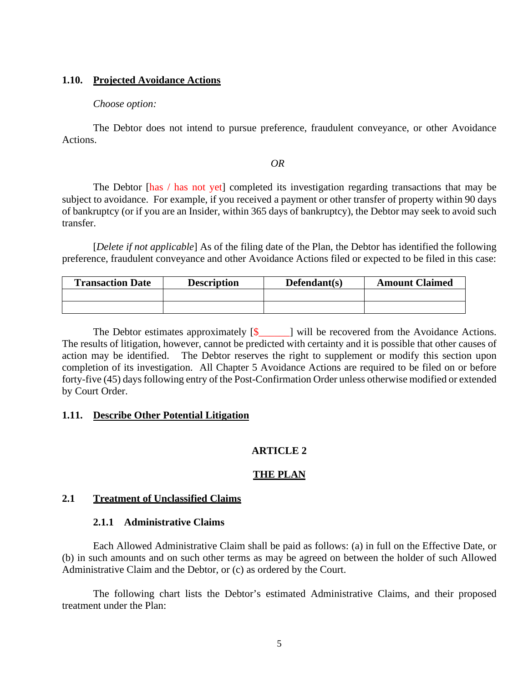#### **1.10. Projected Avoidance Actions**

#### *Choose option:*

The Debtor does not intend to pursue preference, fraudulent conveyance, or other Avoidance Actions.

#### *OR*

The Debtor [has / has not yet] completed its investigation regarding transactions that may be subject to avoidance. For example, if you received a payment or other transfer of property within 90 days of bankruptcy (or if you are an Insider, within 365 days of bankruptcy), the Debtor may seek to avoid such transfer.

[*Delete if not applicable*] As of the filing date of the Plan, the Debtor has identified the following preference, fraudulent conveyance and other Avoidance Actions filed or expected to be filed in this case:

| <b>Transaction Date</b> | <b>Description</b> | $Defendant(s)$ | <b>Amount Claimed</b> |
|-------------------------|--------------------|----------------|-----------------------|
|                         |                    |                |                       |
|                         |                    |                |                       |

The Debtor estimates approximately  $[\S$  | will be recovered from the Avoidance Actions. The results of litigation, however, cannot be predicted with certainty and it is possible that other causes of action may be identified. The Debtor reserves the right to supplement or modify this section upon completion of its investigation. All Chapter 5 Avoidance Actions are required to be filed on or before forty-five (45) days following entry of the Post-Confirmation Order unless otherwise modified or extended by Court Order.

## **1.11. Describe Other Potential Litigation**

# **ARTICLE 2**

## **THE PLAN**

#### **2.1 Treatment of Unclassified Claims**

# **2.1.1 Administrative Claims**

Each Allowed Administrative Claim shall be paid as follows: (a) in full on the Effective Date, or (b) in such amounts and on such other terms as may be agreed on between the holder of such Allowed Administrative Claim and the Debtor, or (c) as ordered by the Court.

The following chart lists the Debtor's estimated Administrative Claims, and their proposed treatment under the Plan: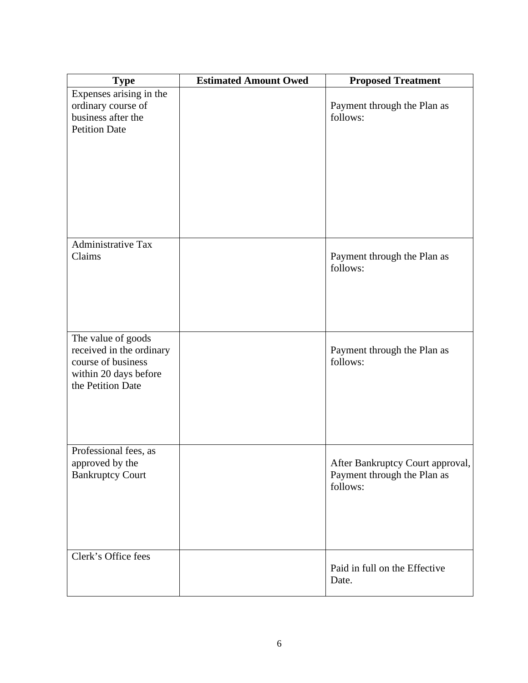| <b>Type</b>                                                                                                        | <b>Estimated Amount Owed</b> | <b>Proposed Treatment</b>                                                   |
|--------------------------------------------------------------------------------------------------------------------|------------------------------|-----------------------------------------------------------------------------|
| Expenses arising in the<br>ordinary course of<br>business after the<br><b>Petition Date</b>                        |                              | Payment through the Plan as<br>follows:                                     |
| <b>Administrative Tax</b><br>Claims                                                                                |                              | Payment through the Plan as<br>follows:                                     |
| The value of goods<br>received in the ordinary<br>course of business<br>within 20 days before<br>the Petition Date |                              | Payment through the Plan as<br>follows:                                     |
| Professional fees, as<br>approved by the<br><b>Bankruptcy Court</b>                                                |                              | After Bankruptcy Court approval,<br>Payment through the Plan as<br>follows: |
| Clerk's Office fees                                                                                                |                              | Paid in full on the Effective<br>Date.                                      |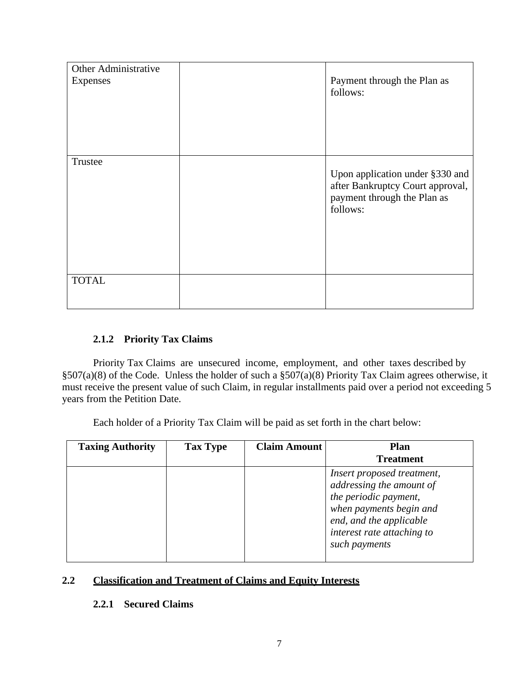| Other Administrative |                                                                                                                |
|----------------------|----------------------------------------------------------------------------------------------------------------|
| <b>Expenses</b>      | Payment through the Plan as<br>follows:                                                                        |
|                      |                                                                                                                |
|                      |                                                                                                                |
|                      |                                                                                                                |
| Trustee              |                                                                                                                |
|                      | Upon application under §330 and<br>after Bankruptcy Court approval,<br>payment through the Plan as<br>follows: |
|                      |                                                                                                                |
| <b>TOTAL</b>         |                                                                                                                |
|                      |                                                                                                                |

# **2.1.2 Priority Tax Claims**

Priority Tax Claims are unsecured income, employment, and other taxes described by §507(a)(8) of the Code. Unless the holder of such a §507(a)(8) Priority Tax Claim agrees otherwise, it must receive the present value of such Claim, in regular installments paid over a period not exceeding 5 years from the Petition Date.

Each holder of a Priority Tax Claim will be paid as set forth in the chart below:

| <b>Taxing Authority</b> | <b>Tax Type</b> | <b>Claim Amount</b> | <b>Plan</b>                                                                                                                                                                          |
|-------------------------|-----------------|---------------------|--------------------------------------------------------------------------------------------------------------------------------------------------------------------------------------|
|                         |                 |                     | <b>Treatment</b>                                                                                                                                                                     |
|                         |                 |                     | Insert proposed treatment,<br>addressing the amount of<br>the periodic payment,<br>when payments begin and<br>end, and the applicable<br>interest rate attaching to<br>such payments |

# **2.2 Classification and Treatment of Claims and Equity Interests**

# **2.2.1 Secured Claims**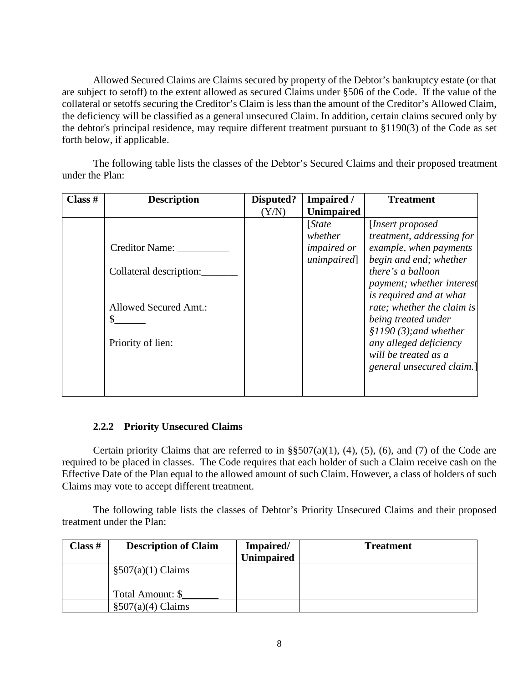Allowed Secured Claims are Claims secured by property of the Debtor's bankruptcy estate (or that are subject to setoff) to the extent allowed as secured Claims under §506 of the Code. If the value of the collateral or setoffs securing the Creditor's Claim is less than the amount of the Creditor's Allowed Claim, the deficiency will be classified as a general unsecured Claim. In addition, certain claims secured only by the debtor's principal residence, may require different treatment pursuant to §1190(3) of the Code as set forth below, if applicable.

The following table lists the classes of the Debtor's Secured Claims and their proposed treatment under the Plan:

| Class $#$ | <b>Description</b>      | Disputed? | Impaired /         | <b>Treatment</b>           |
|-----------|-------------------------|-----------|--------------------|----------------------------|
|           |                         | (Y/N)     | <b>Unimpaired</b>  |                            |
|           |                         |           | [State]            | [Insert proposed]          |
|           |                         |           | whether            | treatment, addressing for  |
|           | <b>Creditor Name:</b>   |           | <i>impaired or</i> | example, when payments     |
|           |                         |           | unimpaired]        | begin and end; whether     |
|           | Collateral description: |           |                    | there's a balloon          |
|           |                         |           |                    | payment; whether interest  |
|           |                         |           |                    | is required and at what    |
|           | Allowed Secured Amt.:   |           |                    | rate; whether the claim is |
|           | S                       |           |                    | being treated under        |
|           |                         |           |                    | $$1190 (3);$ and whether   |
|           | Priority of lien:       |           |                    | any alleged deficiency     |
|           |                         |           |                    | will be treated as a       |
|           |                         |           |                    | general unsecured claim.]  |
|           |                         |           |                    |                            |
|           |                         |           |                    |                            |

## **2.2.2 Priority Unsecured Claims**

Certain priority Claims that are referred to in  $\S$ §507(a)(1), (4), (5), (6), and (7) of the Code are required to be placed in classes. The Code requires that each holder of such a Claim receive cash on the Effective Date of the Plan equal to the allowed amount of such Claim. However, a class of holders of such Claims may vote to accept different treatment.

The following table lists the classes of Debtor's Priority Unsecured Claims and their proposed treatment under the Plan:

| Class $#$ | <b>Description of Claim</b> | Impaired/<br><b>Unimpaired</b> | <b>Treatment</b> |
|-----------|-----------------------------|--------------------------------|------------------|
|           | $\S507(a)(1)$ Claims        |                                |                  |
|           | Total Amount: \$            |                                |                  |
|           | $\S507(a)(4)$ Claims        |                                |                  |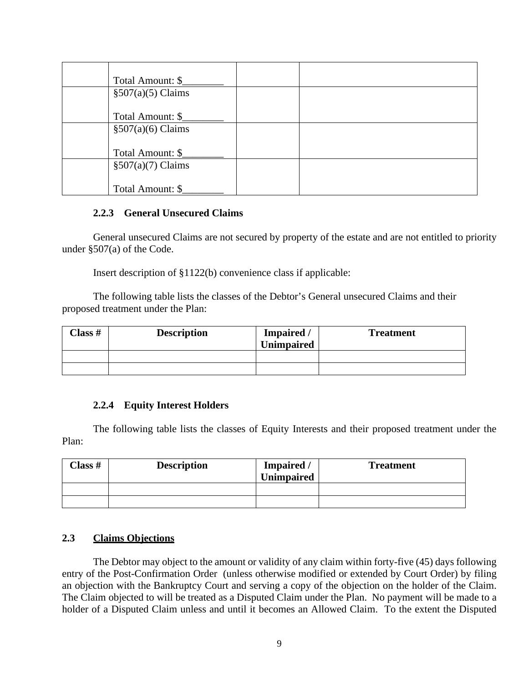| Total Amount: \$     |  |
|----------------------|--|
| $\S507(a)(5)$ Claims |  |
|                      |  |
| Total Amount: \$     |  |
| $\S507(a)(6)$ Claims |  |
|                      |  |
| Total Amount: \$     |  |
| $\S507(a)(7)$ Claims |  |
|                      |  |
| Total Amount: \$     |  |

## **2.2.3 General Unsecured Claims**

General unsecured Claims are not secured by property of the estate and are not entitled to priority under §507(a) of the Code.

Insert description of §1122(b) convenience class if applicable:

The following table lists the classes of the Debtor's General unsecured Claims and their proposed treatment under the Plan:

| Class # | <b>Description</b> | Impaired /<br><b>Unimpaired</b> | <b>Treatment</b> |
|---------|--------------------|---------------------------------|------------------|
|         |                    |                                 |                  |
|         |                    |                                 |                  |

# **2.2.4 Equity Interest Holders**

The following table lists the classes of Equity Interests and their proposed treatment under the Plan:

| Class# | <b>Description</b> | Impaired /<br><b>Unimpaired</b> | <b>Treatment</b> |
|--------|--------------------|---------------------------------|------------------|
|        |                    |                                 |                  |
|        |                    |                                 |                  |

# **2.3 Claims Objections**

The Debtor may object to the amount or validity of any claim within forty-five (45) days following entry of the Post-Confirmation Order (unless otherwise modified or extended by Court Order) by filing an objection with the Bankruptcy Court and serving a copy of the objection on the holder of the Claim. The Claim objected to will be treated as a Disputed Claim under the Plan. No payment will be made to a holder of a Disputed Claim unless and until it becomes an Allowed Claim. To the extent the Disputed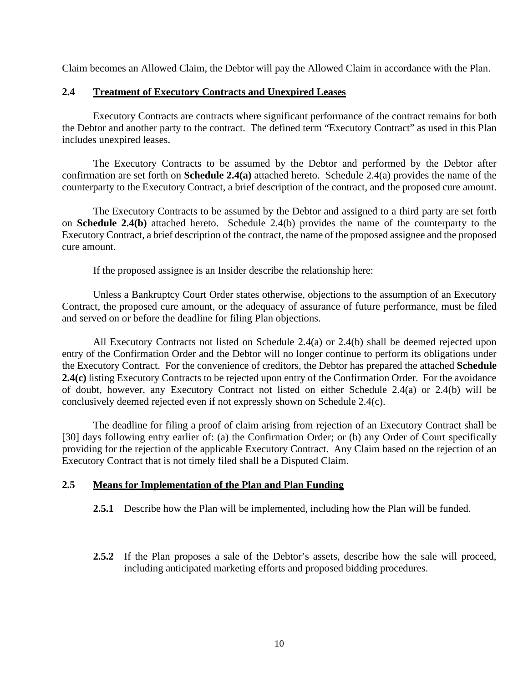Claim becomes an Allowed Claim, the Debtor will pay the Allowed Claim in accordance with the Plan.

# **2.4 Treatment of Executory Contracts and Unexpired Leases**

Executory Contracts are contracts where significant performance of the contract remains for both the Debtor and another party to the contract. The defined term "Executory Contract" as used in this Plan includes unexpired leases.

The Executory Contracts to be assumed by the Debtor and performed by the Debtor after confirmation are set forth on **Schedule 2.4(a)** attached hereto. Schedule 2.4(a) provides the name of the counterparty to the Executory Contract, a brief description of the contract, and the proposed cure amount.

The Executory Contracts to be assumed by the Debtor and assigned to a third party are set forth on **Schedule 2.4(b)** attached hereto. Schedule 2.4(b) provides the name of the counterparty to the Executory Contract, a brief description of the contract, the name of the proposed assignee and the proposed cure amount.

If the proposed assignee is an Insider describe the relationship here:

Unless a Bankruptcy Court Order states otherwise, objections to the assumption of an Executory Contract, the proposed cure amount, or the adequacy of assurance of future performance, must be filed and served on or before the deadline for filing Plan objections.

All Executory Contracts not listed on Schedule 2.4(a) or 2.4(b) shall be deemed rejected upon entry of the Confirmation Order and the Debtor will no longer continue to perform its obligations under the Executory Contract. For the convenience of creditors, the Debtor has prepared the attached **Schedule 2.4(c)** listing Executory Contracts to be rejected upon entry of the Confirmation Order. For the avoidance of doubt, however, any Executory Contract not listed on either Schedule 2.4(a) or 2.4(b) will be conclusively deemed rejected even if not expressly shown on Schedule 2.4(c).

The deadline for filing a proof of claim arising from rejection of an Executory Contract shall be [30] days following entry earlier of: (a) the Confirmation Order; or (b) any Order of Court specifically providing for the rejection of the applicable Executory Contract. Any Claim based on the rejection of an Executory Contract that is not timely filed shall be a Disputed Claim.

## **2.5 Means for Implementation of the Plan and Plan Funding**

- **2.5.1** Describe how the Plan will be implemented, including how the Plan will be funded.
- **2.5.2** If the Plan proposes a sale of the Debtor's assets, describe how the sale will proceed, including anticipated marketing efforts and proposed bidding procedures.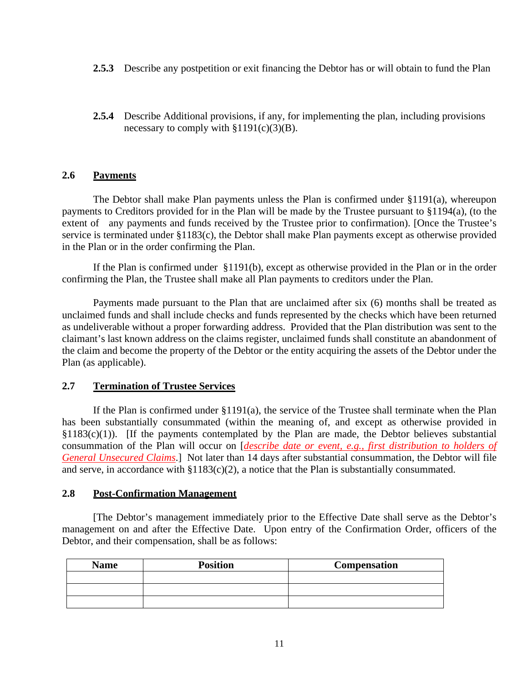- **2.5.3** Describe any postpetition or exit financing the Debtor has or will obtain to fund the Plan
- **2.5.4** Describe Additional provisions, if any, for implementing the plan, including provisions necessary to comply with  $§1191(c)(3)(B)$ .

# **2.6 Payments**

 The Debtor shall make Plan payments unless the Plan is confirmed under §1191(a), whereupon payments to Creditors provided for in the Plan will be made by the Trustee pursuant to §1194(a), (to the extent of any payments and funds received by the Trustee prior to confirmation). [Once the Trustee's service is terminated under §1183(c), the Debtor shall make Plan payments except as otherwise provided in the Plan or in the order confirming the Plan.

If the Plan is confirmed under [§1191\(b\),](https://1.next.westlaw.com/Link/Document/FullText?findType=L&pubNum=1000546&cite=11USCAS1191&originatingDoc=N631F0920CB3E11E984F2EEB35D6967BE&refType=RB&originationContext=document&transitionType=DocumentItem&contextData=(sc.UserEnteredCitation)#co_pp_a83b000018c76) except as otherwise provided in the Plan or in the order confirming the Plan, the Trustee shall make all Plan payments to creditors under the Plan.

Payments made pursuant to the Plan that are unclaimed after six (6) months shall be treated as unclaimed funds and shall include checks and funds represented by the checks which have been returned as undeliverable without a proper forwarding address. Provided that the Plan distribution was sent to the claimant's last known address on the claims register, unclaimed funds shall constitute an abandonment of the claim and become the property of the Debtor or the entity acquiring the assets of the Debtor under the Plan (as applicable).

## **2.7 Termination of Trustee Services**

If the Plan is confirmed under §1191(a), the service of the Trustee shall terminate when the Plan has been substantially consummated (within the meaning of, and except as otherwise provided in  $§1183(c)(1)$ ). [If the payments contemplated by the Plan are made, the Debtor believes substantial consummation of the Plan will occur on [*describe date or event, e.g., first distribution to holders of General Unsecured Claims*.] Not later than 14 days after substantial consummation, the Debtor will file and serve, in accordance with §1183(c)(2), a notice that the Plan is substantially consummated.

## **2.8 Post-Confirmation Management**

[The Debtor's management immediately prior to the Effective Date shall serve as the Debtor's management on and after the Effective Date. Upon entry of the Confirmation Order, officers of the Debtor, and their compensation, shall be as follows:

| <b>Name</b> | <b>Position</b> | Compensation |
|-------------|-----------------|--------------|
|             |                 |              |
|             |                 |              |
|             |                 |              |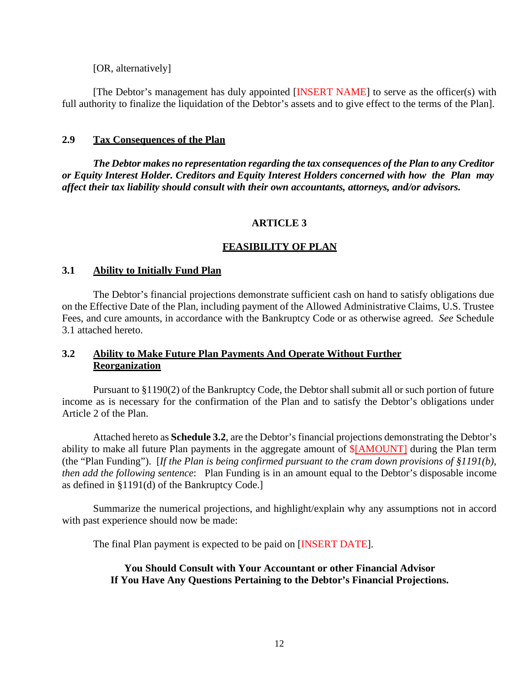[OR, alternatively]

[The Debtor's management has duly appointed [INSERT NAME] to serve as the officer(s) with full authority to finalize the liquidation of the Debtor's assets and to give effect to the terms of the Plan].

# **2.9 Tax Consequences of the Plan**

*The Debtor makes no representation regarding the tax consequences of the Plan to any Creditor or Equity Interest Holder. Creditors and Equity Interest Holders concerned with how the Plan may affect their tax liability should consult with their own accountants, attorneys, and/or advisors.*

# **ARTICLE 3**

# **FEASIBILITY OF PLAN**

# **3.1 Ability to Initially Fund Plan**

The Debtor's financial projections demonstrate sufficient cash on hand to satisfy obligations due on the Effective Date of the Plan, including payment of the Allowed Administrative Claims, U.S. Trustee Fees, and cure amounts, in accordance with the Bankruptcy Code or as otherwise agreed. *See* Schedule 3.1 attached hereto.

# **3.2 Ability to Make Future Plan Payments And Operate Without Further Reorganization**

Pursuant to §1190(2) of the Bankruptcy Code, the Debtor shall submit all or such portion of future income as is necessary for the confirmation of the Plan and to satisfy the Debtor's obligations under Article 2 of the Plan.

Attached hereto as **Schedule 3.2**, are the Debtor's financial projections demonstrating the Debtor's ability to make all future Plan payments in the aggregate amount of \$[AMOUNT] during the Plan term (the "Plan Funding"). [*If the Plan is being confirmed pursuant to the cram down provisions of §1191(b), then add the following sentence*: Plan Funding is in an amount equal to the Debtor's disposable income as defined in §1191(d) of the Bankruptcy Code.]

Summarize the numerical projections, and highlight/explain why any assumptions not in accord with past experience should now be made:

The final Plan payment is expected to be paid on [INSERT DATE].

## **You Should Consult with Your Accountant or other Financial Advisor If You Have Any Questions Pertaining to the Debtor's Financial Projections.**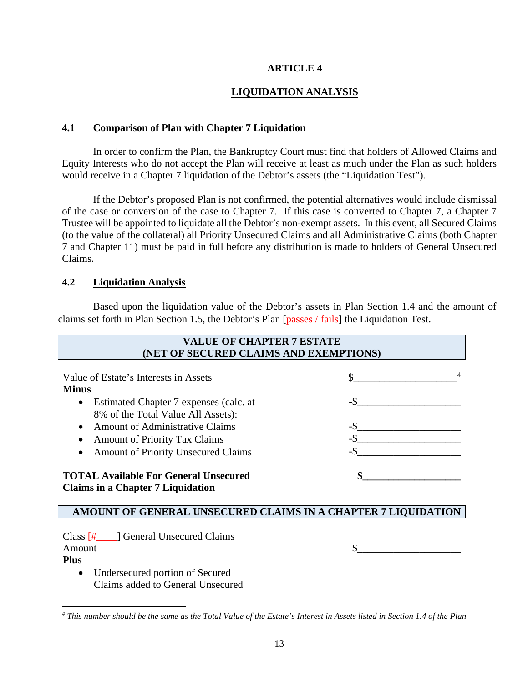# **ARTICLE 4**

# **LIQUIDATION ANALYSIS**

# **4.1 Comparison of Plan with Chapter 7 Liquidation**

In order to confirm the Plan, the Bankruptcy Court must find that holders of Allowed Claims and Equity Interests who do not accept the Plan will receive at least as much under the Plan as such holders would receive in a Chapter 7 liquidation of the Debtor's assets (the "Liquidation Test").

If the Debtor's proposed Plan is not confirmed, the potential alternatives would include dismissal of the case or conversion of the case to Chapter 7. If this case is converted to Chapter 7, a Chapter 7 Trustee will be appointed to liquidate all the Debtor's non-exempt assets. In this event, all Secured Claims (to the value of the collateral) all Priority Unsecured Claims and all Administrative Claims (both Chapter 7 and Chapter 11) must be paid in full before any distribution is made to holders of General Unsecured Claims.

# **4.2 Liquidation Analysis**

Based upon the liquidation value of the Debtor's assets in Plan Section 1.4 and the amount of claims set forth in Plan Section 1.5, the Debtor's Plan [passes / fails] the Liquidation Test.

| <b>VALUE OF CHAPTER 7 ESTATE</b><br>(NET OF SECURED CLAIMS AND EXEMPTIONS)                                                                                                                                                           |        |  |  |
|--------------------------------------------------------------------------------------------------------------------------------------------------------------------------------------------------------------------------------------|--------|--|--|
| Value of Estate's Interests in Assets<br><b>Minus</b><br>Estimated Chapter 7 expenses (calc. at<br>$\bullet$<br>8% of the Total Value All Assets):<br><b>Amount of Administrative Claims</b><br><b>Amount of Priority Tax Claims</b> | $-$ \$ |  |  |
| <b>Amount of Priority Unsecured Claims</b><br><b>TOTAL Available For General Unsecured</b><br><b>Claims in a Chapter 7 Liquidation</b><br>AMOUNT OF GENERAL UNSECURED CLAIMS IN A CHAPTER 7 LIQUIDATION                              |        |  |  |
| Class [# ___ ] General Unsecured Claims<br>Amount<br><b>Plus</b>                                                                                                                                                                     |        |  |  |

• Undersecured portion of Secured Claims added to General Unsecured

<span id="page-13-0"></span>*<sup>4</sup> This number should be the same as the Total Value of the Estate's Interest in Assets listed in Section 1.4 of the Plan*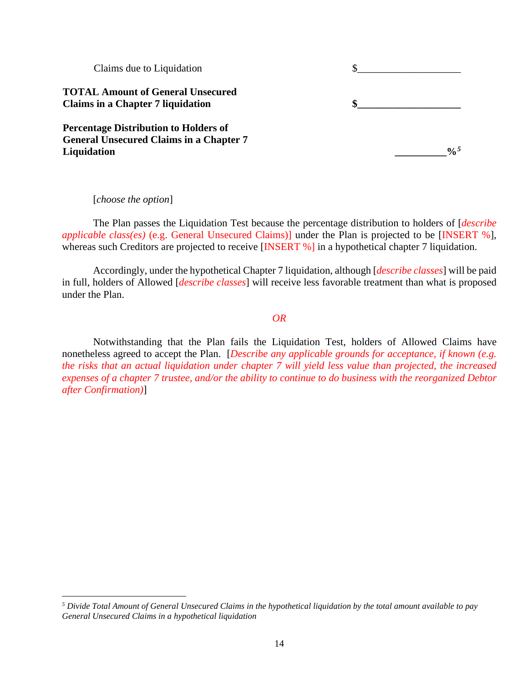| Claims due to Liquidation                      |      |
|------------------------------------------------|------|
| <b>TOTAL Amount of General Unsecured</b>       |      |
| <b>Claims in a Chapter 7 liquidation</b>       |      |
| <b>Percentage Distribution to Holders of</b>   |      |
| <b>General Unsecured Claims in a Chapter 7</b> |      |
| Liquidation                                    | 0/25 |
|                                                |      |

[*choose the option*]

The Plan passes the Liquidation Test because the percentage distribution to holders of [*describe applicable class(es)* (e.g. General Unsecured Claims)] under the Plan is projected to be [INSERT %], whereas such Creditors are projected to receive [INSERT %] in a hypothetical chapter 7 liquidation.

Accordingly, under the hypothetical Chapter 7 liquidation, although [*describe classes*] will be paid in full, holders of Allowed [*describe classes*] will receive less favorable treatment than what is proposed under the Plan.

#### *OR*

Notwithstanding that the Plan fails the Liquidation Test, holders of Allowed Claims have nonetheless agreed to accept the Plan. [*Describe any applicable grounds for acceptance, if known (e.g. the risks that an actual liquidation under chapter 7 will yield less value than projected, the increased expenses of a chapter 7 trustee, and/or the ability to continue to do business with the reorganized Debtor after Confirmation)*]

<span id="page-14-0"></span>*<sup>5</sup> Divide Total Amount of General Unsecured Claims in the hypothetical liquidation by the total amount available to pay General Unsecured Claims in a hypothetical liquidation*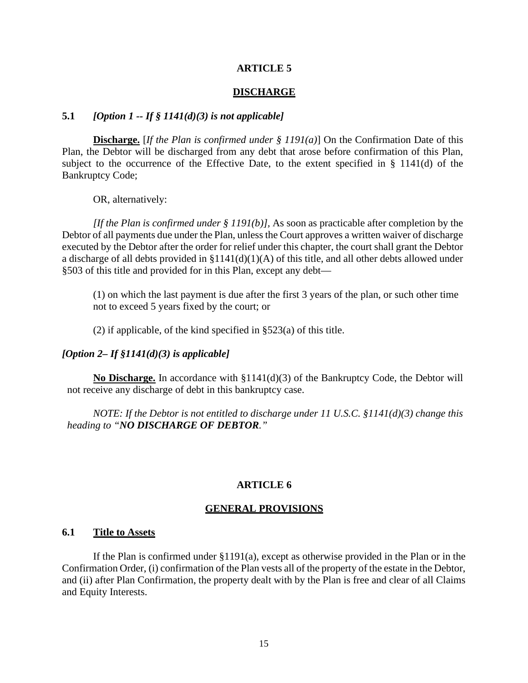#### **ARTICLE 5**

#### **DISCHARGE**

# **5.1** *[Option 1 -- If § 1141(d)(3) is not applicable]*

**Discharge.** [*If the Plan is confirmed under § 1191(a)*] On the Confirmation Date of this Plan, the Debtor will be discharged from any debt that arose before confirmation of this Plan, subject to the occurrence of the Effective Date, to the extent specified in § 1141(d) of the Bankruptcy Code;

OR, alternatively:

*[If the Plan is confirmed under § 1191(b)],* As soon as practicable after completion by the Debtor of all payments due under the Plan, unless the Court approves a written waiver of discharge executed by the Debtor after the order for relief under this chapter, the court shall grant the Debtor a discharge of all debts provided in [§1141\(d\)\(1\)\(A\)](https://1.next.westlaw.com/Link/Document/FullText?findType=L&pubNum=1000546&cite=11USCAS1141&originatingDoc=N635BEB10CB3E11E9B4CEA5FF4FFE9C0C&refType=RB&originationContext=document&transitionType=DocumentItem&contextData=(sc.UserEnteredCitation)#co_pp_a7830000870a0) of this title, and all other debts allowed under §503 of this title and provided for in this Plan, except any debt—

(1) on which the last payment is due after the first 3 years of the plan, or such other time not to exceed 5 years fixed by the court; or

(2) if applicable, of the kind specified in [§523\(a\)](https://1.next.westlaw.com/Link/Document/FullText?findType=L&pubNum=1000546&cite=11USCAS523&originatingDoc=N635BEB10CB3E11E9B4CEA5FF4FFE9C0C&refType=RB&originationContext=document&transitionType=DocumentItem&contextData=(sc.UserEnteredCitation)#co_pp_8b3b0000958a4) of this title.

#### *[Option 2– If §1141(d)(3) is applicable]*

**No Discharge.** In accordance with  $\S1141(d)(3)$  of the Bankruptcy Code, the Debtor will not receive any discharge of debt in this bankruptcy case.

*NOTE: If the Debtor is not entitled to discharge under 11 U.S.C. §1141(d)(3) change this heading to "NO DISCHARGE OF DEBTOR."*

#### **ARTICLE 6**

#### **GENERAL PROVISIONS**

#### **6.1 Title to Assets**

If the Plan is confirmed under  $\S1191(a)$ , except as otherwise provided in the Plan or in the Confirmation Order, (i) confirmation of the Plan vests all of the property of the estate in the Debtor, and (ii) after Plan Confirmation, the property dealt with by the Plan is free and clear of all Claims and Equity Interests.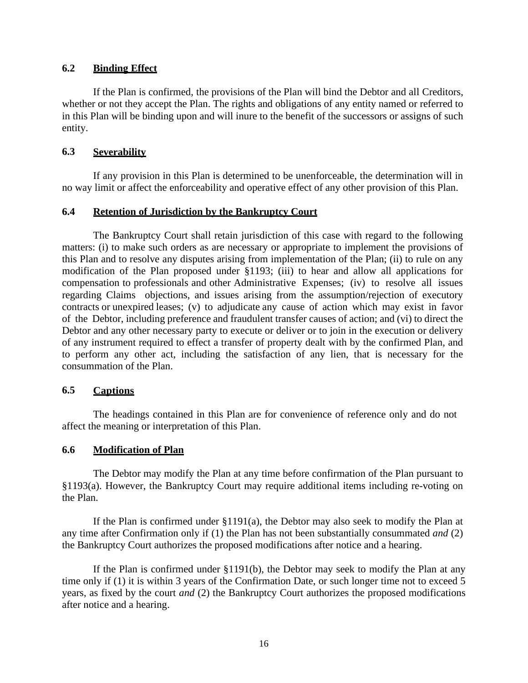# **6.2 Binding Effect**

If the Plan is confirmed, the provisions of the Plan will bind the Debtor and all Creditors, whether or not they accept the Plan. The rights and obligations of any entity named or referred to in this Plan will be binding upon and will inure to the benefit of the successors or assigns of such entity.

# **6.3 Severability**

If any provision in this Plan is determined to be unenforceable, the determination will in no way limit or affect the enforceability and operative effect of any other provision of this Plan.

# **6.4 Retention of Jurisdiction by the Bankruptcy Court**

The Bankruptcy Court shall retain jurisdiction of this case with regard to the following matters: (i) to make such orders as are necessary or appropriate to implement the provisions of this Plan and to resolve any disputes arising from implementation of the Plan; (ii) to rule on any modification of the Plan proposed under §1193; (iii) to hear and allow all applications for compensation to professionals and other Administrative Expenses; (iv) to resolve all issues regarding Claims objections, and issues arising from the assumption/rejection of executory contracts or unexpired leases; (v) to adjudicate any cause of action which may exist in favor of the Debtor, including preference and fraudulent transfer causes of action; and (vi) to direct the Debtor and any other necessary party to execute or deliver or to join in the execution or delivery of any instrument required to effect a transfer of property dealt with by the confirmed Plan, and to perform any other act, including the satisfaction of any lien, that is necessary for the consummation of the Plan.

## **6.5 Captions**

The headings contained in this Plan are for convenience of reference only and do not affect the meaning or interpretation of this Plan.

## **6.6 Modification of Plan**

The Debtor may modify the Plan at any time before confirmation of the Plan pursuant to §1193(a). However, the Bankruptcy Court may require additional items including re-voting on the Plan.

If the Plan is confirmed under §1191(a), the Debtor may also seek to modify the Plan at any time after Confirmation only if (1) the Plan has not been substantially consummated *and* (2) the Bankruptcy Court authorizes the proposed modifications after notice and a hearing.

If the Plan is confirmed under §1191(b), the Debtor may seek to modify the Plan at any time only if (1) it is within 3 years of the Confirmation Date, or such longer time not to exceed 5 years, as fixed by the court *and* (2) the Bankruptcy Court authorizes the proposed modifications after notice and a hearing.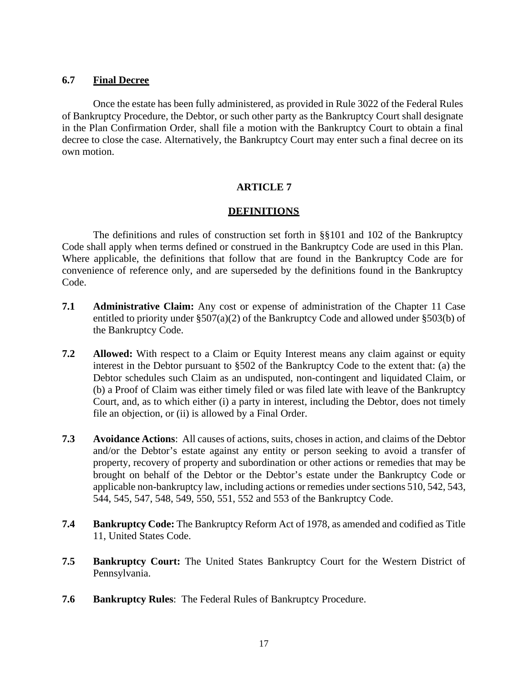## **6.7 Final Decree**

Once the estate has been fully administered, as provided in Rule 3022 of the Federal Rules of Bankruptcy Procedure, the Debtor, or such other party as the Bankruptcy Court shall designate in the Plan Confirmation Order, shall file a motion with the Bankruptcy Court to obtain a final decree to close the case. Alternatively, the Bankruptcy Court may enter such a final decree on its own motion.

# **ARTICLE 7**

# **DEFINITIONS**

The definitions and rules of construction set forth in §§101 and 102 of the Bankruptcy Code shall apply when terms defined or construed in the Bankruptcy Code are used in this Plan. Where applicable, the definitions that follow that are found in the Bankruptcy Code are for convenience of reference only, and are superseded by the definitions found in the Bankruptcy Code.

- **7.1 Administrative Claim:** Any cost or expense of administration of the Chapter 11 Case entitled to priority under §507(a)(2) of the Bankruptcy Code and allowed under §503(b) of the Bankruptcy Code.
- **7.2 Allowed:** With respect to a Claim or Equity Interest means any claim against or equity interest in the Debtor pursuant to §502 of the Bankruptcy Code to the extent that: (a) the Debtor schedules such Claim as an undisputed, non-contingent and liquidated Claim, or (b) a Proof of Claim was either timely filed or was filed late with leave of the Bankruptcy Court, and, as to which either (i) a party in interest, including the Debtor, does not timely file an objection, or (ii) is allowed by a Final Order.
- **7.3 Avoidance Actions**: All causes of actions, suits, choses in action, and claims of the Debtor and/or the Debtor's estate against any entity or person seeking to avoid a transfer of property, recovery of property and subordination or other actions or remedies that may be brought on behalf of the Debtor or the Debtor's estate under the Bankruptcy Code or applicable non-bankruptcy law, including actions or remedies under sections 510, 542, 543, 544, 545, 547, 548, 549, 550, 551, 552 and 553 of the Bankruptcy Code.
- **7.4 Bankruptcy Code:** The Bankruptcy Reform Act of 1978, as amended and codified as Title 11, United States Code.
- **7.5 Bankruptcy Court:** The United States Bankruptcy Court for the Western District of Pennsylvania.
- **7.6 Bankruptcy Rules**: The Federal Rules of Bankruptcy Procedure.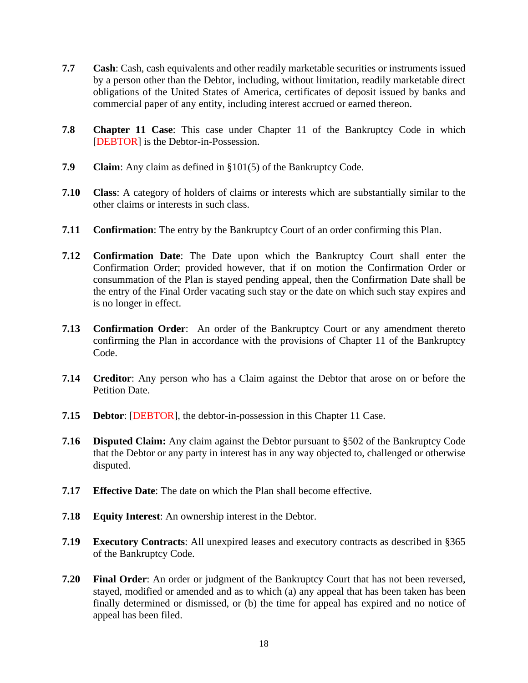- **7.7 Cash**: Cash, cash equivalents and other readily marketable securities or instruments issued by a person other than the Debtor, including, without limitation, readily marketable direct obligations of the United States of America, certificates of deposit issued by banks and commercial paper of any entity, including interest accrued or earned thereon.
- **7.8 Chapter 11 Case**: This case under Chapter 11 of the Bankruptcy Code in which [DEBTOR] is the Debtor-in-Possession.
- **7.9 Claim**: Any claim as defined in §101(5) of the Bankruptcy Code.
- **7.10 Class**: A category of holders of claims or interests which are substantially similar to the other claims or interests in such class.
- **7.11 Confirmation**: The entry by the Bankruptcy Court of an order confirming this Plan.
- **7.12 Confirmation Date**: The Date upon which the Bankruptcy Court shall enter the Confirmation Order; provided however, that if on motion the Confirmation Order or consummation of the Plan is stayed pending appeal, then the Confirmation Date shall be the entry of the Final Order vacating such stay or the date on which such stay expires and is no longer in effect.
- **7.13 Confirmation Order**: An order of the Bankruptcy Court or any amendment thereto confirming the Plan in accordance with the provisions of Chapter 11 of the Bankruptcy Code.
- **7.14 Creditor**: Any person who has a Claim against the Debtor that arose on or before the Petition Date.
- **7.15 Debtor**: [DEBTOR], the debtor-in-possession in this Chapter 11 Case.
- **7.16 Disputed Claim:** Any claim against the Debtor pursuant to §502 of the Bankruptcy Code that the Debtor or any party in interest has in any way objected to, challenged or otherwise disputed.
- **7.17 Effective Date**: The date on which the Plan shall become effective.
- **7.18 Equity Interest**: An ownership interest in the Debtor.
- **7.19 Executory Contracts**: All unexpired leases and executory contracts as described in §365 of the Bankruptcy Code.
- **7.20 Final Order**: An order or judgment of the Bankruptcy Court that has not been reversed, stayed, modified or amended and as to which (a) any appeal that has been taken has been finally determined or dismissed, or (b) the time for appeal has expired and no notice of appeal has been filed.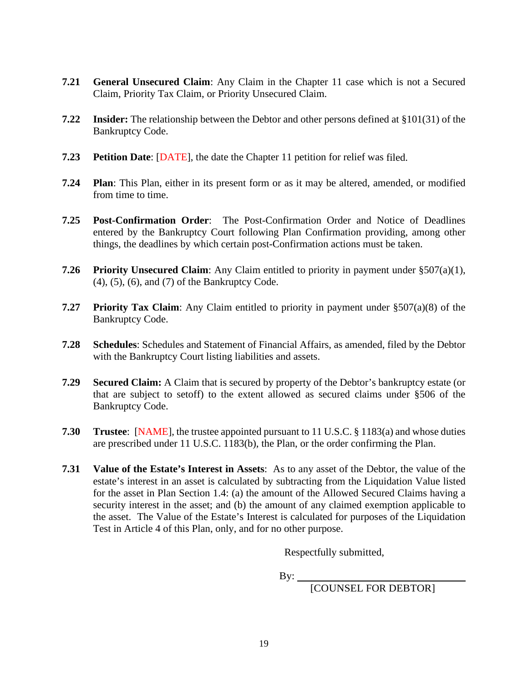- **7.21 General Unsecured Claim**: Any Claim in the Chapter 11 case which is not a Secured Claim, Priority Tax Claim, or Priority Unsecured Claim.
- **7.22 Insider:** The relationship between the Debtor and other persons defined at §101(31) of the Bankruptcy Code.
- **7.23 Petition Date**: [DATE], the date the Chapter 11 petition for relief was filed.
- **7.24 Plan**: This Plan, either in its present form or as it may be altered, amended, or modified from time to time.
- **7.25 Post-Confirmation Order**: The Post-Confirmation Order and Notice of Deadlines entered by the Bankruptcy Court following Plan Confirmation providing, among other things, the deadlines by which certain post-Confirmation actions must be taken.
- **7.26 Priority Unsecured Claim**: Any Claim entitled to priority in payment under §507(a)(1), (4), (5), (6), and (7) of the Bankruptcy Code.
- **7.27 Priority Tax Claim**: Any Claim entitled to priority in payment under §507(a)(8) of the Bankruptcy Code.
- **7.28 Schedules**: Schedules and Statement of Financial Affairs, as amended, filed by the Debtor with the Bankruptcy Court listing liabilities and assets.
- **7.29 Secured Claim:** A Claim that is secured by property of the Debtor's bankruptcy estate (or that are subject to setoff) to the extent allowed as secured claims under §506 of the Bankruptcy Code.
- **7.30 Trustee**: [NAME], the trustee appointed pursuant to 11 U.S.C. § 1183(a) and whose duties are prescribed under 11 U.S.C. 1183(b), the Plan, or the order confirming the Plan.
- **7.31 Value of the Estate's Interest in Assets**: As to any asset of the Debtor, the value of the estate's interest in an asset is calculated by subtracting from the Liquidation Value listed for the asset in Plan Section 1.4: (a) the amount of the Allowed Secured Claims having a security interest in the asset; and (b) the amount of any claimed exemption applicable to the asset. The Value of the Estate's Interest is calculated for purposes of the Liquidation Test in Article 4 of this Plan, only, and for no other purpose.

Respectfully submitted,

 $By:$ 

[COUNSEL FOR DEBTOR]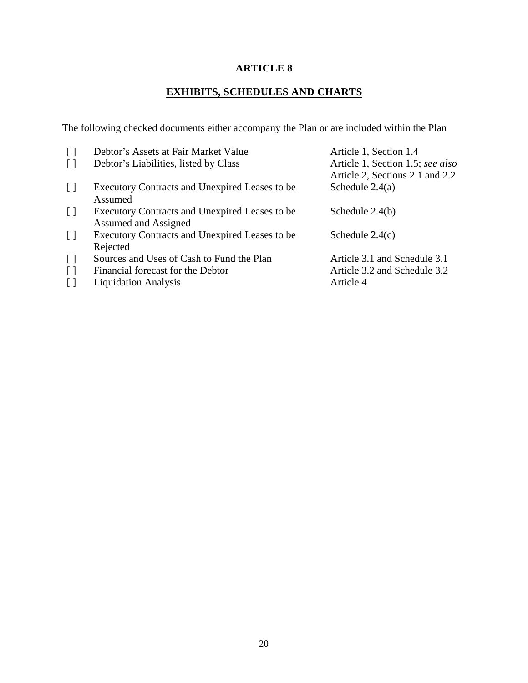# **ARTICLE 8**

# **EXHIBITS, SCHEDULES AND CHARTS**

The following checked documents either accompany the Plan or are included within the Plan

| $\lceil$          | Debtor's Assets at Fair Market Value           | Article 1, Section 1.4           |
|-------------------|------------------------------------------------|----------------------------------|
| $\lceil$ $\rceil$ | Debtor's Liabilities, listed by Class          | Article 1, Section 1.5; see also |
|                   |                                                | Article 2, Sections 2.1 and 2.2  |
| $\Box$            | Executory Contracts and Unexpired Leases to be | Schedule $2.4(a)$                |
|                   | Assumed                                        |                                  |
| $\Box$            | Executory Contracts and Unexpired Leases to be | Schedule $2.4(b)$                |
|                   | Assumed and Assigned                           |                                  |
| $\Box$            | Executory Contracts and Unexpired Leases to be | Schedule $2.4(c)$                |
|                   | Rejected                                       |                                  |
| $\lceil$          | Sources and Uses of Cash to Fund the Plan      | Article 3.1 and Schedule 3.1     |
| $\lceil$          | Financial forecast for the Debtor              | Article 3.2 and Schedule 3.2     |
| $\lceil$ $\rceil$ | <b>Liquidation Analysis</b>                    | Article 4                        |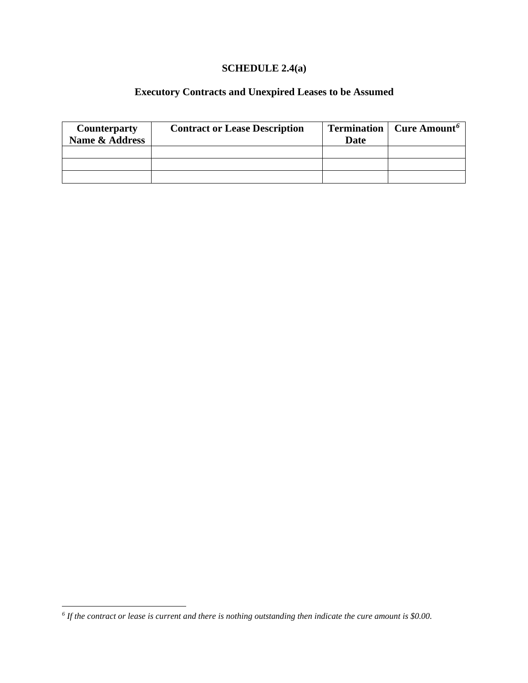# **SCHEDULE 2.4(a)**

# **Executory Contracts and Unexpired Leases to be Assumed**

| <b>Counterparty</b> | <b>Contract or Lease Description</b> | <b>Termination</b> | Cure Amount <sup>6</sup> |
|---------------------|--------------------------------------|--------------------|--------------------------|
| Name & Address      |                                      | Date               |                          |
|                     |                                      |                    |                          |
|                     |                                      |                    |                          |
|                     |                                      |                    |                          |

<span id="page-21-0"></span>*<sup>6</sup> If the contract or lease is current and there is nothing outstanding then indicate the cure amount is \$0.00.*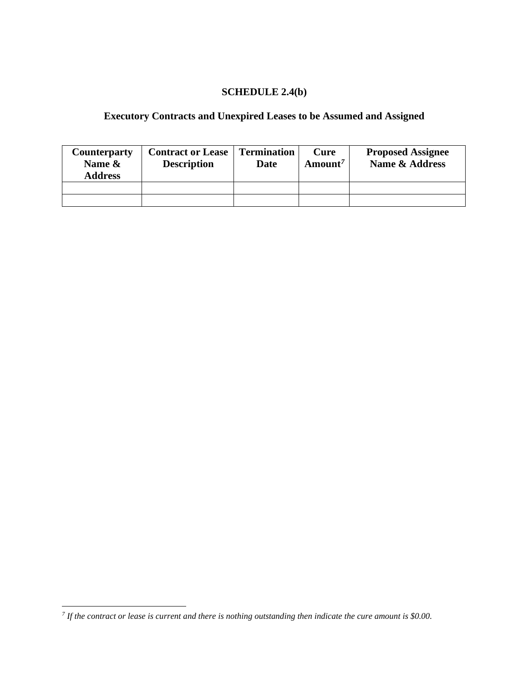# **SCHEDULE 2.4(b)**

# **Executory Contracts and Unexpired Leases to be Assumed and Assigned**

| <b>Counterparty</b><br>Name &<br><b>Address</b> | <b>Contract or Lease</b><br><b>Description</b> | <b>Termination</b><br>Date | Cure<br>Amount <sup>7</sup> | <b>Proposed Assignee</b><br><b>Name &amp; Address</b> |
|-------------------------------------------------|------------------------------------------------|----------------------------|-----------------------------|-------------------------------------------------------|
|                                                 |                                                |                            |                             |                                                       |
|                                                 |                                                |                            |                             |                                                       |

<span id="page-22-0"></span>*<sup>7</sup> If the contract or lease is current and there is nothing outstanding then indicate the cure amount is \$0.00.*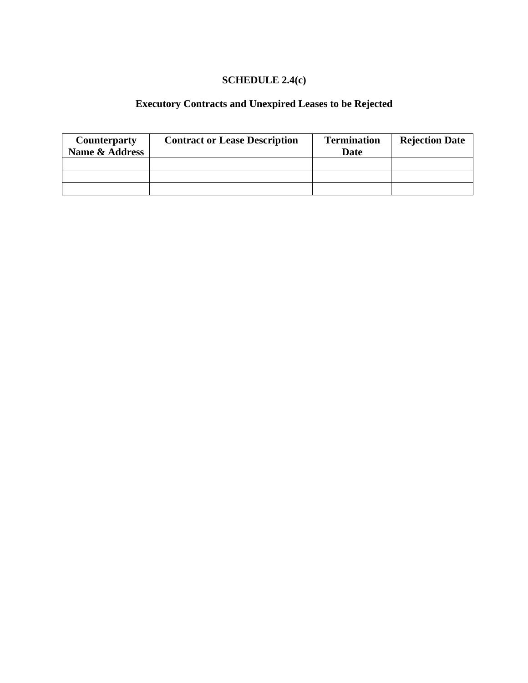# **SCHEDULE 2.4(c)**

# **Executory Contracts and Unexpired Leases to be Rejected**

| <b>Counterparty</b> | <b>Contract or Lease Description</b> | <b>Termination</b> | <b>Rejection Date</b> |
|---------------------|--------------------------------------|--------------------|-----------------------|
| Name & Address      |                                      | <b>Date</b>        |                       |
|                     |                                      |                    |                       |
|                     |                                      |                    |                       |
|                     |                                      |                    |                       |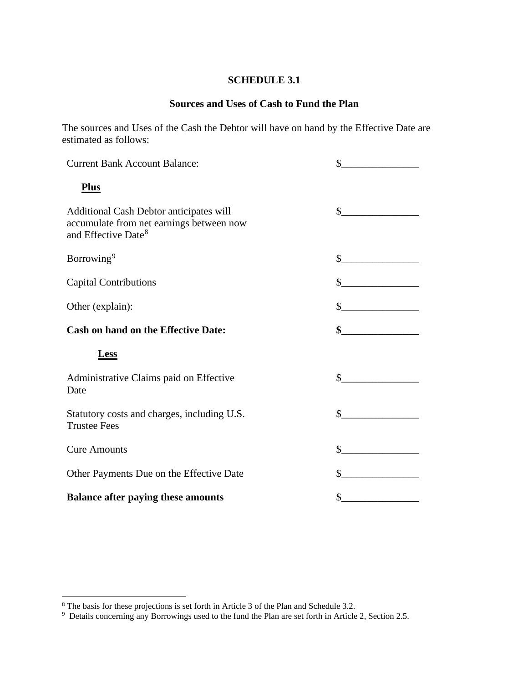## **SCHEDULE 3.1**

# **Sources and Uses of Cash to Fund the Plan**

The sources and Uses of the Cash the Debtor will have on hand by the Effective Date are estimated as follows:

| <b>Current Bank Account Balance:</b>                                                                                   | \$            |
|------------------------------------------------------------------------------------------------------------------------|---------------|
| <b>Plus</b>                                                                                                            |               |
| Additional Cash Debtor anticipates will<br>accumulate from net earnings between now<br>and Effective Date <sup>8</sup> | $\mathcal{S}$ |
| Borrowing <sup>9</sup>                                                                                                 | $\frac{1}{2}$ |
| <b>Capital Contributions</b>                                                                                           |               |
| Other (explain):                                                                                                       | $\frac{1}{2}$ |
| <b>Cash on hand on the Effective Date:</b>                                                                             | $\frac{1}{2}$ |
| <b>Less</b>                                                                                                            |               |
| Administrative Claims paid on Effective<br>Date                                                                        | $\mathbb{S}$  |
| Statutory costs and charges, including U.S.<br><b>Trustee Fees</b>                                                     | $\mathbb{S}$  |
| <b>Cure Amounts</b>                                                                                                    | \$            |
| Other Payments Due on the Effective Date                                                                               |               |
| <b>Balance after paying these amounts</b>                                                                              |               |

<span id="page-24-1"></span>

<span id="page-24-0"></span><sup>&</sup>lt;sup>8</sup> The basis for these projections is set forth in Article 3 of the Plan and Schedule 3.2.<br><sup>9</sup> Details concerning any Borrowings used to the fund the Plan are set forth in Article 2, Section 2.5.